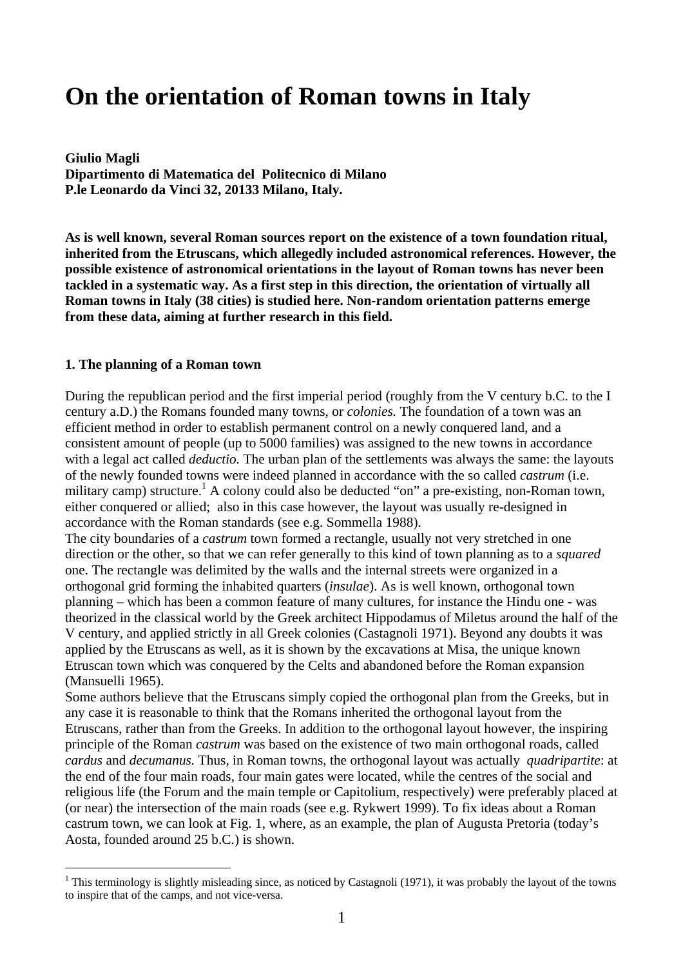# **On the orientation of Roman towns in Italy**

**Giulio Magli Dipartimento di Matematica del Politecnico di Milano P.le Leonardo da Vinci 32, 20133 Milano, Italy.** 

**As is well known, several Roman sources report on the existence of a town foundation ritual, inherited from the Etruscans, which allegedly included astronomical references. However, the possible existence of astronomical orientations in the layout of Roman towns has never been tackled in a systematic way. As a first step in this direction, the orientation of virtually all Roman towns in Italy (38 cities) is studied here. Non-random orientation patterns emerge from these data, aiming at further research in this field.** 

#### **1. The planning of a Roman town**

 $\overline{a}$ 

During the republican period and the first imperial period (roughly from the V century b.C. to the I century a.D.) the Romans founded many towns, or *colonies.* The foundation of a town was an efficient method in order to establish permanent control on a newly conquered land, and a consistent amount of people (up to 5000 families) was assigned to the new towns in accordance with a legal act called *deductio.* The urban plan of the settlements was always the same: the layouts of the newly founded towns were indeed planned in accordance with the so called *castrum* (i.e. military camp) structure.<sup>1</sup> A colony could also be deducted "on" a pre-existing, non-Roman town, either conquered or allied; also in this case however, the layout was usually re-designed in accordance with the Roman standards (see e.g. Sommella 1988).

The city boundaries of a *castrum* town formed a rectangle, usually not very stretched in one direction or the other, so that we can refer generally to this kind of town planning as to a *squared*  one. The rectangle was delimited by the walls and the internal streets were organized in a orthogonal grid forming the inhabited quarters (*insulae*). As is well known, orthogonal town planning – which has been a common feature of many cultures, for instance the Hindu one - was theorized in the classical world by the Greek architect Hippodamus of Miletus around the half of the V century, and applied strictly in all Greek colonies (Castagnoli 1971). Beyond any doubts it was applied by the Etruscans as well, as it is shown by the excavations at Misa, the unique known Etruscan town which was conquered by the Celts and abandoned before the Roman expansion (Mansuelli 1965).

Some authors believe that the Etruscans simply copied the orthogonal plan from the Greeks, but in any case it is reasonable to think that the Romans inherited the orthogonal layout from the Etruscans, rather than from the Greeks. In addition to the orthogonal layout however, the inspiring principle of the Roman *castrum* was based on the existence of two main orthogonal roads, called *cardus* and *decumanus.* Thus, in Roman towns, the orthogonal layout was actually *quadripartite*: at the end of the four main roads, four main gates were located, while the centres of the social and religious life (the Forum and the main temple or Capitolium, respectively) were preferably placed at (or near) the intersection of the main roads (see e.g. Rykwert 1999). To fix ideas about a Roman castrum town, we can look at Fig. 1, where, as an example, the plan of Augusta Pretoria (today's Aosta, founded around 25 b.C.) is shown.

<sup>&</sup>lt;sup>1</sup> This terminology is slightly misleading since, as noticed by Castagnoli (1971), it was probably the layout of the towns to inspire that of the camps, and not vice-versa.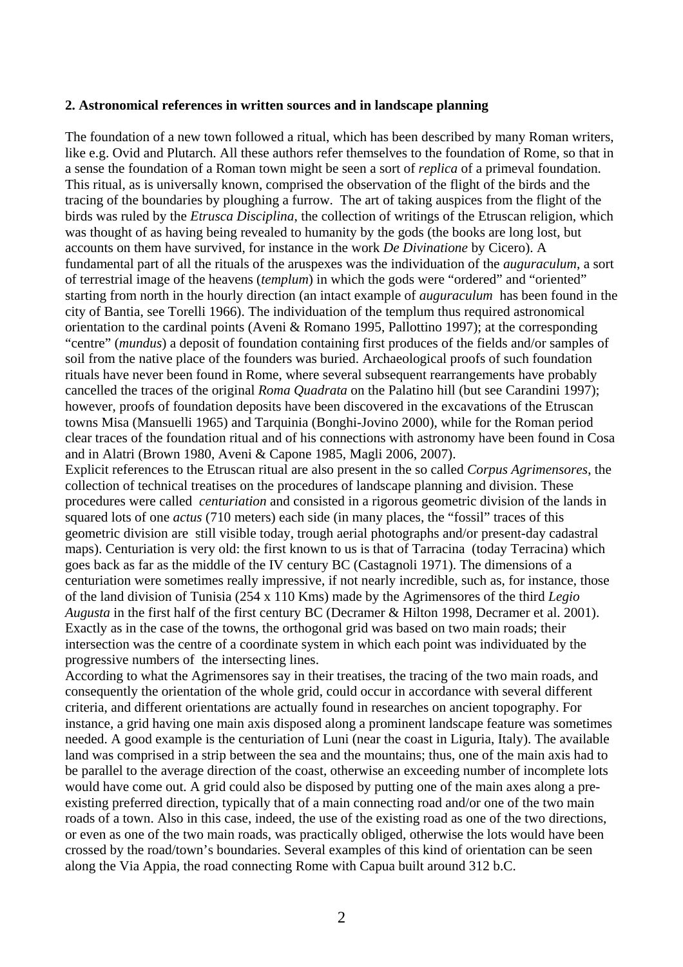#### **2. Astronomical references in written sources and in landscape planning**

The foundation of a new town followed a ritual, which has been described by many Roman writers, like e.g. Ovid and Plutarch. All these authors refer themselves to the foundation of Rome, so that in a sense the foundation of a Roman town might be seen a sort of *replica* of a primeval foundation. This ritual, as is universally known, comprised the observation of the flight of the birds and the tracing of the boundaries by ploughing a furrow. The art of taking auspices from the flight of the birds was ruled by the *Etrusca Disciplina*, the collection of writings of the Etruscan religion, which was thought of as having being revealed to humanity by the gods (the books are long lost, but accounts on them have survived, for instance in the work *De Divinatione* by Cicero). A fundamental part of all the rituals of the aruspexes was the individuation of the *auguraculum*, a sort of terrestrial image of the heavens (*templum*) in which the gods were "ordered" and "oriented" starting from north in the hourly direction (an intact example of *auguraculum* has been found in the city of Bantia, see Torelli 1966). The individuation of the templum thus required astronomical orientation to the cardinal points (Aveni & Romano 1995, Pallottino 1997); at the corresponding "centre" (*mundus*) a deposit of foundation containing first produces of the fields and/or samples of soil from the native place of the founders was buried. Archaeological proofs of such foundation rituals have never been found in Rome, where several subsequent rearrangements have probably cancelled the traces of the original *Roma Quadrata* on the Palatino hill (but see Carandini 1997); however, proofs of foundation deposits have been discovered in the excavations of the Etruscan towns Misa (Mansuelli 1965) and Tarquinia (Bonghi-Jovino 2000), while for the Roman period clear traces of the foundation ritual and of his connections with astronomy have been found in Cosa and in Alatri (Brown 1980, Aveni & Capone 1985, Magli 2006, 2007).

Explicit references to the Etruscan ritual are also present in the so called *Corpus Agrimensores*, the collection of technical treatises on the procedures of landscape planning and division. These procedures were called *centuriation* and consisted in a rigorous geometric division of the lands in squared lots of one *actus* (710 meters) each side (in many places, the "fossil" traces of this geometric division are still visible today, trough aerial photographs and/or present-day cadastral maps). Centuriation is very old: the first known to us is that of Tarracina (today Terracina) which goes back as far as the middle of the IV century BC (Castagnoli 1971). The dimensions of a centuriation were sometimes really impressive, if not nearly incredible, such as, for instance, those of the land division of Tunisia (254 x 110 Kms) made by the Agrimensores of the third *Legio Augusta* in the first half of the first century BC (Decramer & Hilton 1998, Decramer et al. 2001). Exactly as in the case of the towns, the orthogonal grid was based on two main roads; their intersection was the centre of a coordinate system in which each point was individuated by the progressive numbers of the intersecting lines.

According to what the Agrimensores say in their treatises, the tracing of the two main roads, and consequently the orientation of the whole grid, could occur in accordance with several different criteria, and different orientations are actually found in researches on ancient topography. For instance, a grid having one main axis disposed along a prominent landscape feature was sometimes needed. A good example is the centuriation of Luni (near the coast in Liguria, Italy). The available land was comprised in a strip between the sea and the mountains; thus, one of the main axis had to be parallel to the average direction of the coast, otherwise an exceeding number of incomplete lots would have come out. A grid could also be disposed by putting one of the main axes along a preexisting preferred direction, typically that of a main connecting road and/or one of the two main roads of a town. Also in this case, indeed, the use of the existing road as one of the two directions, or even as one of the two main roads, was practically obliged, otherwise the lots would have been crossed by the road/town's boundaries. Several examples of this kind of orientation can be seen along the Via Appia, the road connecting Rome with Capua built around 312 b.C.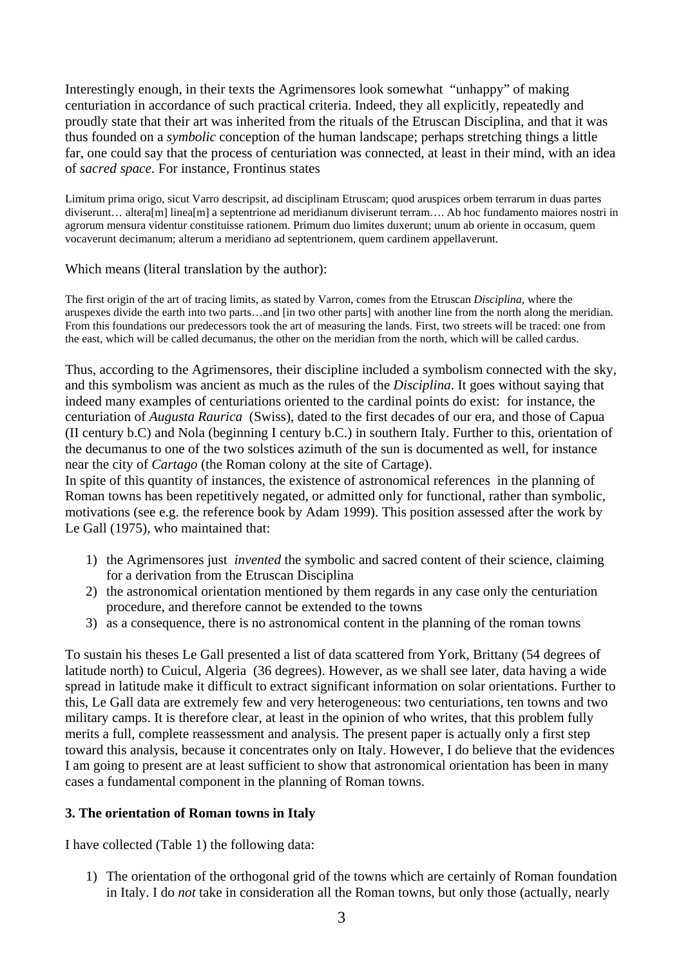Interestingly enough, in their texts the Agrimensores look somewhat "unhappy" of making centuriation in accordance of such practical criteria. Indeed, they all explicitly, repeatedly and proudly state that their art was inherited from the rituals of the Etruscan Disciplina, and that it was thus founded on a *symbolic* conception of the human landscape; perhaps stretching things a little far, one could say that the process of centuriation was connected, at least in their mind, with an idea of *sacred space.* For instance, Frontinus states

Limitum prima origo, sicut Varro descripsit, ad disciplinam Etruscam; quod aruspices orbem terrarum in duas partes diviserunt… altera[m] linea[m] a septentrione ad meridianum diviserunt terram…. Ab hoc fundamento maiores nostri in agrorum mensura videntur constituisse rationem. Primum duo limites duxerunt; unum ab oriente in occasum, quem vocaverunt decimanum; alterum a meridiano ad septentrionem, quem cardinem appellaverunt.

Which means (literal translation by the author):

The first origin of the art of tracing limits, as stated by Varron, comes from the Etruscan *Disciplina*, where the aruspexes divide the earth into two parts…and [in two other parts] with another line from the north along the meridian. From this foundations our predecessors took the art of measuring the lands. First, two streets will be traced: one from the east, which will be called decumanus, the other on the meridian from the north, which will be called cardus.

Thus, according to the Agrimensores, their discipline included a symbolism connected with the sky, and this symbolism was ancient as much as the rules of the *Disciplina*. It goes without saying that indeed many examples of centuriations oriented to the cardinal points do exist: for instance, the centuriation of *Augusta Raurica* (Swiss), dated to the first decades of our era, and those of Capua (II century b.C) and Nola (beginning I century b.C.) in southern Italy. Further to this, orientation of the decumanus to one of the two solstices azimuth of the sun is documented as well, for instance near the city of *Cartago* (the Roman colony at the site of Cartage).

In spite of this quantity of instances, the existence of astronomical references in the planning of Roman towns has been repetitively negated, or admitted only for functional, rather than symbolic, motivations (see e.g. the reference book by Adam 1999). This position assessed after the work by Le Gall (1975), who maintained that:

- 1) the Agrimensores just *invented* the symbolic and sacred content of their science, claiming for a derivation from the Etruscan Disciplina
- 2) the astronomical orientation mentioned by them regards in any case only the centuriation procedure, and therefore cannot be extended to the towns
- 3) as a consequence, there is no astronomical content in the planning of the roman towns

To sustain his theses Le Gall presented a list of data scattered from York, Brittany (54 degrees of latitude north) to Cuicul, Algeria (36 degrees). However, as we shall see later, data having a wide spread in latitude make it difficult to extract significant information on solar orientations. Further to this, Le Gall data are extremely few and very heterogeneous: two centuriations, ten towns and two military camps. It is therefore clear, at least in the opinion of who writes, that this problem fully merits a full, complete reassessment and analysis. The present paper is actually only a first step toward this analysis, because it concentrates only on Italy. However, I do believe that the evidences I am going to present are at least sufficient to show that astronomical orientation has been in many cases a fundamental component in the planning of Roman towns.

#### **3. The orientation of Roman towns in Italy**

I have collected (Table 1) the following data:

1) The orientation of the orthogonal grid of the towns which are certainly of Roman foundation in Italy. I do *not* take in consideration all the Roman towns, but only those (actually, nearly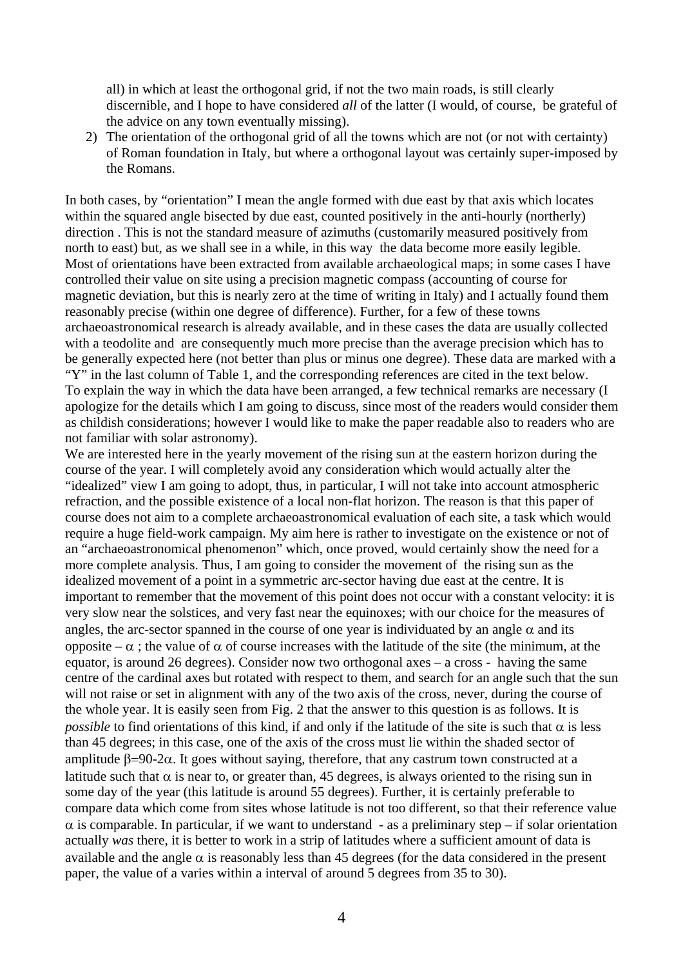all) in which at least the orthogonal grid, if not the two main roads, is still clearly discernible, and I hope to have considered *all* of the latter (I would, of course, be grateful of the advice on any town eventually missing).

2) The orientation of the orthogonal grid of all the towns which are not (or not with certainty) of Roman foundation in Italy, but where a orthogonal layout was certainly super-imposed by the Romans.

In both cases, by "orientation" I mean the angle formed with due east by that axis which locates within the squared angle bisected by due east, counted positively in the anti-hourly (northerly) direction . This is not the standard measure of azimuths (customarily measured positively from north to east) but, as we shall see in a while, in this way the data become more easily legible. Most of orientations have been extracted from available archaeological maps; in some cases I have controlled their value on site using a precision magnetic compass (accounting of course for magnetic deviation, but this is nearly zero at the time of writing in Italy) and I actually found them reasonably precise (within one degree of difference). Further, for a few of these towns archaeoastronomical research is already available, and in these cases the data are usually collected with a teodolite and are consequently much more precise than the average precision which has to be generally expected here (not better than plus or minus one degree). These data are marked with a "Y" in the last column of Table 1, and the corresponding references are cited in the text below. To explain the way in which the data have been arranged, a few technical remarks are necessary (I apologize for the details which I am going to discuss, since most of the readers would consider them

as childish considerations; however I would like to make the paper readable also to readers who are

not familiar with solar astronomy). We are interested here in the yearly movement of the rising sun at the eastern horizon during the course of the year. I will completely avoid any consideration which would actually alter the "idealized" view I am going to adopt, thus, in particular, I will not take into account atmospheric refraction, and the possible existence of a local non-flat horizon. The reason is that this paper of course does not aim to a complete archaeoastronomical evaluation of each site, a task which would require a huge field-work campaign. My aim here is rather to investigate on the existence or not of an "archaeoastronomical phenomenon" which, once proved, would certainly show the need for a more complete analysis. Thus, I am going to consider the movement of the rising sun as the idealized movement of a point in a symmetric arc-sector having due east at the centre. It is important to remember that the movement of this point does not occur with a constant velocity: it is very slow near the solstices, and very fast near the equinoxes; with our choice for the measures of angles, the arc-sector spanned in the course of one year is individuated by an angle  $\alpha$  and its opposite – α ; the value of α of course increases with the latitude of the site (the minimum, at the equator, is around 26 degrees). Consider now two orthogonal axes – a cross - having the same centre of the cardinal axes but rotated with respect to them, and search for an angle such that the sun will not raise or set in alignment with any of the two axis of the cross, never, during the course of the whole year. It is easily seen from Fig. 2 that the answer to this question is as follows. It is *possible* to find orientations of this kind, if and only if the latitude of the site is such that  $\alpha$  is less than 45 degrees; in this case, one of the axis of the cross must lie within the shaded sector of amplitude  $\beta = 90-2\alpha$ . It goes without saying, therefore, that any castrum town constructed at a latitude such that  $\alpha$  is near to, or greater than, 45 degrees, is always oriented to the rising sun in some day of the year (this latitude is around 55 degrees). Further, it is certainly preferable to compare data which come from sites whose latitude is not too different, so that their reference value  $\alpha$  is comparable. In particular, if we want to understand - as a preliminary step – if solar orientation actually *was* there, it is better to work in a strip of latitudes where a sufficient amount of data is available and the angle  $\alpha$  is reasonably less than 45 degrees (for the data considered in the present paper, the value of a varies within a interval of around 5 degrees from 35 to 30).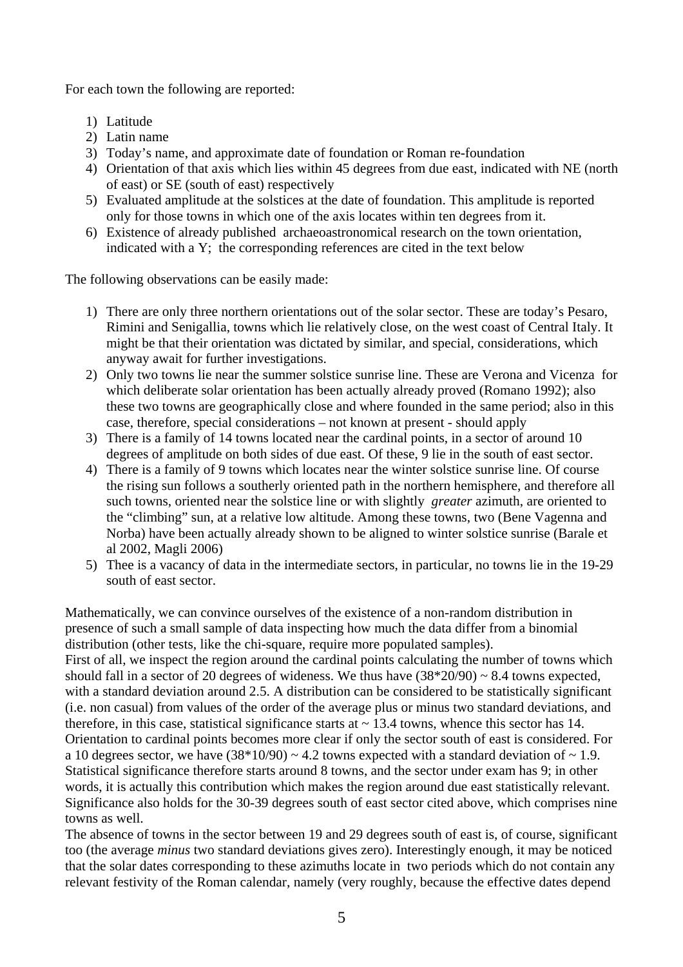For each town the following are reported:

- 1) Latitude
- 2) Latin name
- 3) Today's name, and approximate date of foundation or Roman re-foundation
- 4) Orientation of that axis which lies within 45 degrees from due east, indicated with NE (north of east) or SE (south of east) respectively
- 5) Evaluated amplitude at the solstices at the date of foundation. This amplitude is reported only for those towns in which one of the axis locates within ten degrees from it.
- 6) Existence of already published archaeoastronomical research on the town orientation, indicated with a Y; the corresponding references are cited in the text below

The following observations can be easily made:

- 1) There are only three northern orientations out of the solar sector. These are today's Pesaro, Rimini and Senigallia, towns which lie relatively close, on the west coast of Central Italy. It might be that their orientation was dictated by similar, and special, considerations, which anyway await for further investigations.
- 2) Only two towns lie near the summer solstice sunrise line. These are Verona and Vicenza for which deliberate solar orientation has been actually already proved (Romano 1992); also these two towns are geographically close and where founded in the same period; also in this case, therefore, special considerations – not known at present - should apply
- 3) There is a family of 14 towns located near the cardinal points, in a sector of around 10 degrees of amplitude on both sides of due east. Of these, 9 lie in the south of east sector.
- 4) There is a family of 9 towns which locates near the winter solstice sunrise line. Of course the rising sun follows a southerly oriented path in the northern hemisphere, and therefore all such towns, oriented near the solstice line or with slightly *greater* azimuth, are oriented to the "climbing" sun, at a relative low altitude. Among these towns, two (Bene Vagenna and Norba) have been actually already shown to be aligned to winter solstice sunrise (Barale et al 2002, Magli 2006)
- 5) Thee is a vacancy of data in the intermediate sectors, in particular, no towns lie in the 19-29 south of east sector.

Mathematically, we can convince ourselves of the existence of a non-random distribution in presence of such a small sample of data inspecting how much the data differ from a binomial distribution (other tests, like the chi-square, require more populated samples). First of all, we inspect the region around the cardinal points calculating the number of towns which should fall in a sector of 20 degrees of wideness. We thus have  $(38*20/90) \sim 8.4$  towns expected, with a standard deviation around 2.5. A distribution can be considered to be statistically significant (i.e. non casual) from values of the order of the average plus or minus two standard deviations, and therefore, in this case, statistical significance starts at  $\sim$  13.4 towns, whence this sector has 14. Orientation to cardinal points becomes more clear if only the sector south of east is considered. For a 10 degrees sector, we have  $(38*10/90) \sim 4.2$  towns expected with a standard deviation of  $\sim 1.9$ . Statistical significance therefore starts around 8 towns, and the sector under exam has 9; in other words, it is actually this contribution which makes the region around due east statistically relevant. Significance also holds for the 30-39 degrees south of east sector cited above, which comprises nine towns as well.

The absence of towns in the sector between 19 and 29 degrees south of east is, of course, significant too (the average *minus* two standard deviations gives zero). Interestingly enough, it may be noticed that the solar dates corresponding to these azimuths locate in two periods which do not contain any relevant festivity of the Roman calendar, namely (very roughly, because the effective dates depend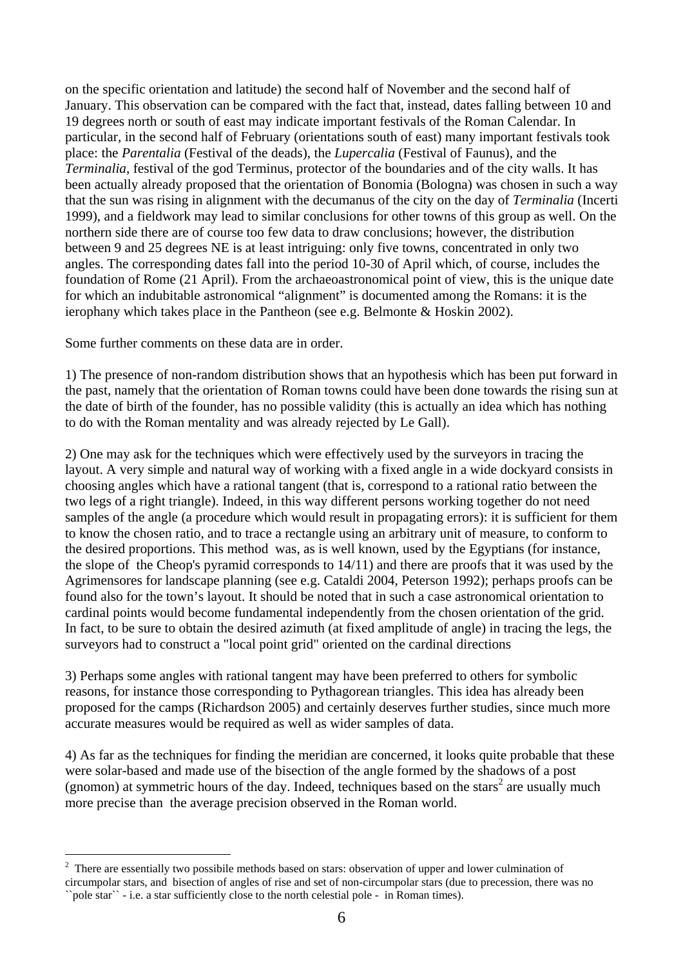on the specific orientation and latitude) the second half of November and the second half of January. This observation can be compared with the fact that, instead, dates falling between 10 and 19 degrees north or south of east may indicate important festivals of the Roman Calendar. In particular, in the second half of February (orientations south of east) many important festivals took place: the *Parentalia* (Festival of the deads), the *Lupercalia* (Festival of Faunus), and the *Terminalia*, festival of the god Terminus, protector of the boundaries and of the city walls. It has been actually already proposed that the orientation of Bonomia (Bologna) was chosen in such a way that the sun was rising in alignment with the decumanus of the city on the day of *Terminalia* (Incerti 1999), and a fieldwork may lead to similar conclusions for other towns of this group as well. On the northern side there are of course too few data to draw conclusions; however, the distribution between 9 and 25 degrees NE is at least intriguing: only five towns, concentrated in only two angles. The corresponding dates fall into the period 10-30 of April which, of course, includes the foundation of Rome (21 April). From the archaeoastronomical point of view, this is the unique date for which an indubitable astronomical "alignment" is documented among the Romans: it is the ierophany which takes place in the Pantheon (see e.g. Belmonte & Hoskin 2002).

Some further comments on these data are in order.

l

1) The presence of non-random distribution shows that an hypothesis which has been put forward in the past, namely that the orientation of Roman towns could have been done towards the rising sun at the date of birth of the founder, has no possible validity (this is actually an idea which has nothing to do with the Roman mentality and was already rejected by Le Gall).

2) One may ask for the techniques which were effectively used by the surveyors in tracing the layout. A very simple and natural way of working with a fixed angle in a wide dockyard consists in choosing angles which have a rational tangent (that is, correspond to a rational ratio between the two legs of a right triangle). Indeed, in this way different persons working together do not need samples of the angle (a procedure which would result in propagating errors): it is sufficient for them to know the chosen ratio, and to trace a rectangle using an arbitrary unit of measure, to conform to the desired proportions. This method was, as is well known, used by the Egyptians (for instance, the slope of the Cheop's pyramid corresponds to 14/11) and there are proofs that it was used by the Agrimensores for landscape planning (see e.g. Cataldi 2004, Peterson 1992); perhaps proofs can be found also for the town's layout. It should be noted that in such a case astronomical orientation to cardinal points would become fundamental independently from the chosen orientation of the grid. In fact, to be sure to obtain the desired azimuth (at fixed amplitude of angle) in tracing the legs, the surveyors had to construct a "local point grid" oriented on the cardinal directions

3) Perhaps some angles with rational tangent may have been preferred to others for symbolic reasons, for instance those corresponding to Pythagorean triangles. This idea has already been proposed for the camps (Richardson 2005) and certainly deserves further studies, since much more accurate measures would be required as well as wider samples of data.

4) As far as the techniques for finding the meridian are concerned, it looks quite probable that these were solar-based and made use of the bisection of the angle formed by the shadows of a post (gnomon) at symmetric hours of the day. Indeed, techniques based on the stars<sup>2</sup> are usually much more precise than the average precision observed in the Roman world.

<sup>2</sup> There are essentially two possibile methods based on stars: observation of upper and lower culmination of circumpolar stars, and bisection of angles of rise and set of non-circumpolar stars (due to precession, there was no ``pole star`` - i.e. a star sufficiently close to the north celestial pole - in Roman times).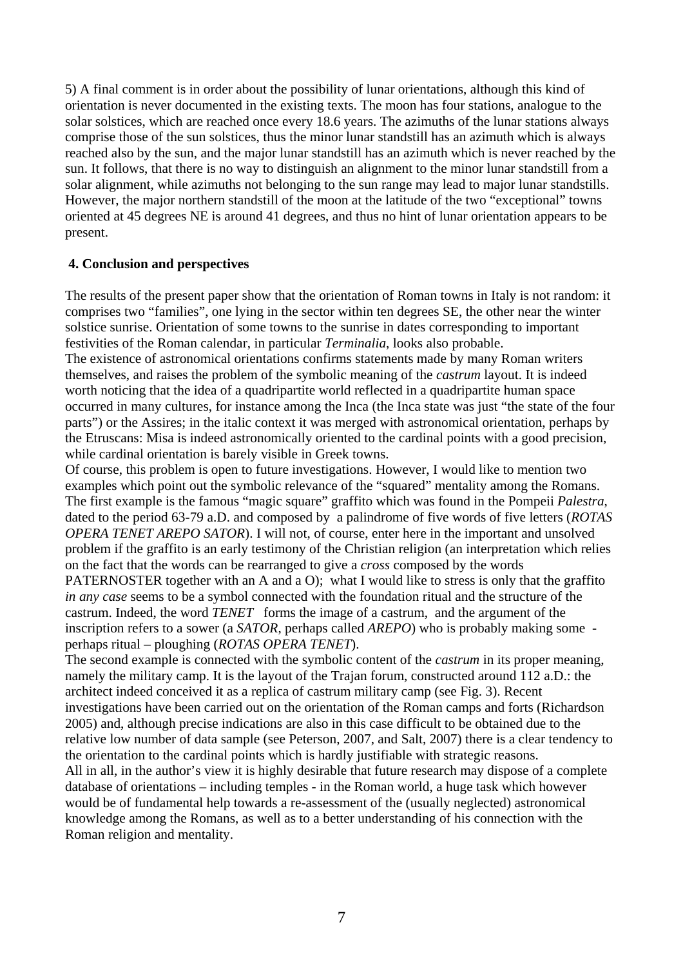5) A final comment is in order about the possibility of lunar orientations, although this kind of orientation is never documented in the existing texts. The moon has four stations, analogue to the solar solstices, which are reached once every 18.6 years. The azimuths of the lunar stations always comprise those of the sun solstices, thus the minor lunar standstill has an azimuth which is always reached also by the sun, and the major lunar standstill has an azimuth which is never reached by the sun. It follows, that there is no way to distinguish an alignment to the minor lunar standstill from a solar alignment, while azimuths not belonging to the sun range may lead to major lunar standstills. However, the major northern standstill of the moon at the latitude of the two "exceptional" towns oriented at 45 degrees NE is around 41 degrees, and thus no hint of lunar orientation appears to be present.

### **4. Conclusion and perspectives**

The results of the present paper show that the orientation of Roman towns in Italy is not random: it comprises two "families", one lying in the sector within ten degrees SE, the other near the winter solstice sunrise. Orientation of some towns to the sunrise in dates corresponding to important festivities of the Roman calendar, in particular *Terminalia*, looks also probable.

The existence of astronomical orientations confirms statements made by many Roman writers themselves, and raises the problem of the symbolic meaning of the *castrum* layout. It is indeed worth noticing that the idea of a quadripartite world reflected in a quadripartite human space occurred in many cultures, for instance among the Inca (the Inca state was just "the state of the four parts") or the Assires; in the italic context it was merged with astronomical orientation, perhaps by the Etruscans: Misa is indeed astronomically oriented to the cardinal points with a good precision, while cardinal orientation is barely visible in Greek towns.

Of course, this problem is open to future investigations. However, I would like to mention two examples which point out the symbolic relevance of the "squared" mentality among the Romans. The first example is the famous "magic square" graffito which was found in the Pompeii *Palestra*, dated to the period 63-79 a.D. and composed by a palindrome of five words of five letters (*ROTAS OPERA TENET AREPO SATOR*). I will not, of course, enter here in the important and unsolved problem if the graffito is an early testimony of the Christian religion (an interpretation which relies on the fact that the words can be rearranged to give a *cross* composed by the words PATERNOSTER together with an A and a O); what I would like to stress is only that the graffito *in any case* seems to be a symbol connected with the foundation ritual and the structure of the castrum. Indeed, the word *TENET* forms the image of a castrum, and the argument of the inscription refers to a sower (a *SATOR*, perhaps called *AREPO*) who is probably making some perhaps ritual – ploughing (*ROTAS OPERA TENET*).

The second example is connected with the symbolic content of the *castrum* in its proper meaning, namely the military camp. It is the layout of the Trajan forum, constructed around 112 a.D.: the architect indeed conceived it as a replica of castrum military camp (see Fig. 3). Recent investigations have been carried out on the orientation of the Roman camps and forts (Richardson 2005) and, although precise indications are also in this case difficult to be obtained due to the relative low number of data sample (see Peterson, 2007, and Salt, 2007) there is a clear tendency to the orientation to the cardinal points which is hardly justifiable with strategic reasons. All in all, in the author's view it is highly desirable that future research may dispose of a complete

database of orientations – including temples - in the Roman world, a huge task which however would be of fundamental help towards a re-assessment of the (usually neglected) astronomical knowledge among the Romans, as well as to a better understanding of his connection with the Roman religion and mentality.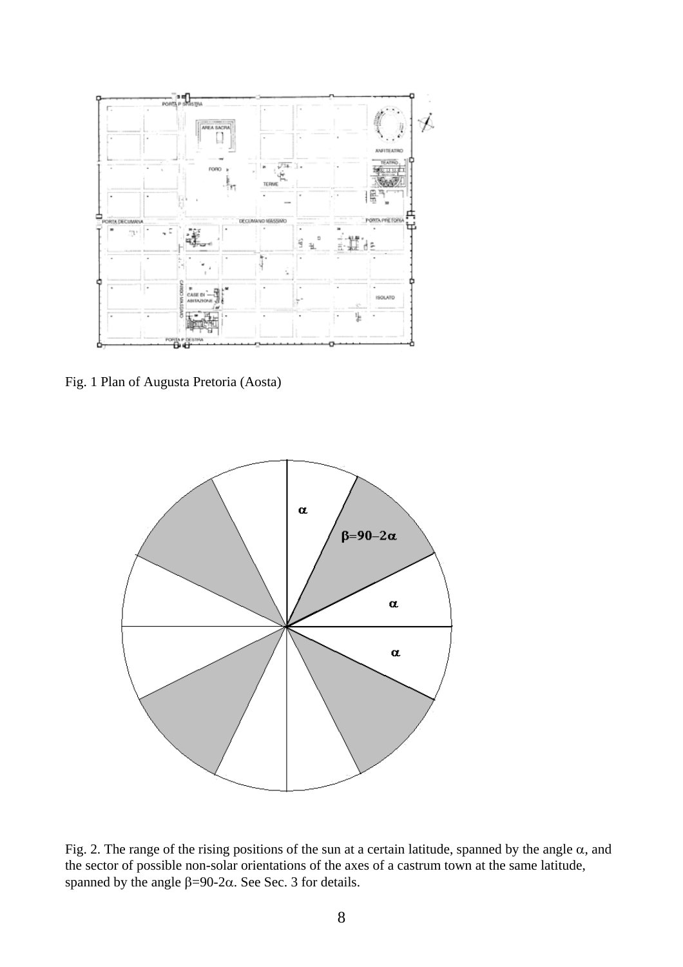

Fig. 1 Plan of Augusta Pretoria (Aosta)



Fig. 2. The range of the rising positions of the sun at a certain latitude, spanned by the angle  $\alpha$ , and the sector of possible non-solar orientations of the axes of a castrum town at the same latitude, spanned by the angle  $β=90-2α$ . See Sec. 3 for details.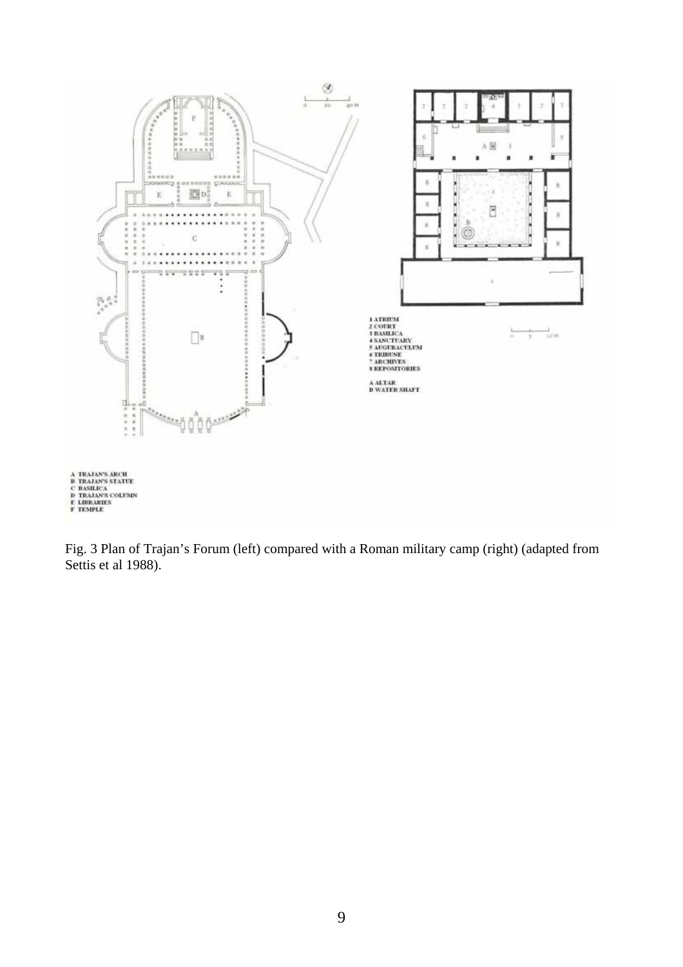

Fig. 3 Plan of Trajan's Forum (left) compared with a Roman military camp (right) (adapted from Settis et al 1988).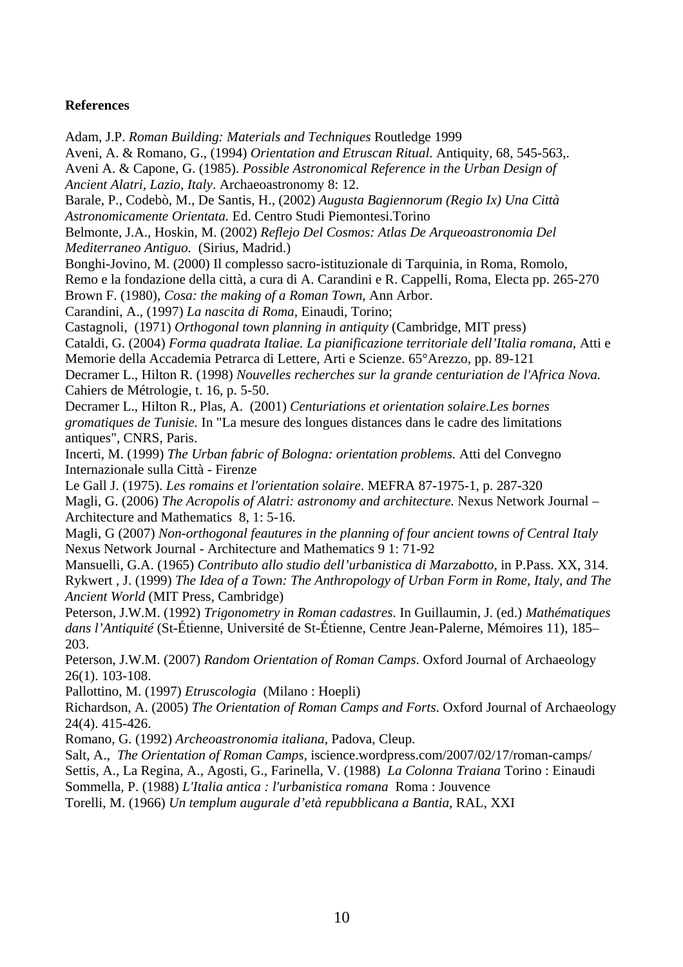## **References**

Adam, J.P. *Roman Building: Materials and Techniques* Routledge 1999 Aveni, A. & Romano, G., (1994) *Orientation and Etruscan Ritual.* Antiquity, 68, 545-563,. Aveni A. & Capone, G. (1985). *Possible Astronomical Reference in the Urban Design of Ancient Alatri, Lazio, Italy*. Archaeoastronomy 8: 12. Barale, P., Codebò, M., De Santis, H., (2002) *Augusta Bagiennorum (Regio Ix) Una Città Astronomicamente Orientata.* Ed. Centro Studi Piemontesi.Torino Belmonte, J.A., Hoskin, M. (2002) *Reflejo Del Cosmos: Atlas De Arqueoastronomia Del Mediterraneo Antiguo.* (Sirius, Madrid.) Bonghi-Jovino, M. (2000) Il complesso sacro-istituzionale di Tarquinia, in Roma, Romolo, Remo e la fondazione della città, a cura di A. Carandini e R. Cappelli, Roma, Electa pp. 265-270 Brown F. (1980), *Cosa: the making of a Roman Town,* Ann Arbor. Carandini, A., (1997) *La nascita di Roma,* Einaudi, Torino; Castagnoli, (1971) *Orthogonal town planning in antiquity* (Cambridge, MIT press) Cataldi, G. (2004) *Forma quadrata Italiae. La pianificazione territoriale dell'Italia romana,* Atti e Memorie della Accademia Petrarca di Lettere, Arti e Scienze. 65°Arezzo, pp. 89-121 Decramer L., Hilton R. (1998) *Nouvelles recherches sur la grande centuriation de l'Africa Nova.*  Cahiers de Métrologie, t. 16, p. 5-50. Decramer L., Hilton R., Plas, A. (2001) *Centuriations et orientation solaire.Les bornes gromatiques de Tunisie.* In "La mesure des longues distances dans le cadre des limitations antiques", CNRS, Paris. Incerti, M. (1999) *The Urban fabric of Bologna: orientation problems.* Atti del Convegno Internazionale sulla Città - Firenze Le Gall J. (1975). *Les romains et l'orientation solaire*. MEFRA 87-1975-1, p. 287-320 Magli, G. (2006) *The Acropolis of Alatri: astronomy and architecture.* Nexus Network Journal – Architecture and Mathematics 8, 1: 5-16. Magli, G (2007) *Non-orthogonal feautures in the planning of four ancient towns of Central Italy*  Nexus Network Journal - Architecture and Mathematics 9 1: 71-92 Mansuelli, G.A. (1965) *Contributo allo studio dell'urbanistica di Marzabotto,* in P.Pass. XX, 314. Rykwert , J. (1999) *The Idea of a Town: The Anthropology of Urban Form in Rome, Italy, and The Ancient World* (MIT Press, Cambridge) Peterson, J.W.M. (1992) *Trigonometry in Roman cadastres*. In Guillaumin, J. (ed.) *Mathématiques dans l'Antiquité* (St-Étienne, Université de St-Étienne, Centre Jean-Palerne, Mémoires 11), 185– 203. Peterson, J.W.M. (2007) *Random Orientation of Roman Camps*. Oxford Journal of Archaeology

26(1). 103-108.

Pallottino, M. (1997) *Etruscologia* (Milano : Hoepli)

Richardson, A. (2005) *The Orientation of Roman Camps and Forts*. Oxford Journal of Archaeology 24(4). 415-426.

Romano, G. (1992) *Archeoastronomia italiana*, Padova, Cleup.

Salt, A., *The Orientation of Roman Camps,* iscience.wordpress.com/2007/02/17/roman-camps/ Settis, A., La Regina, A., Agosti, G., Farinella, V. (1988) *La Colonna Traiana* Torino : Einaudi Sommella, P. (1988) *L'Italia antica : l'urbanistica romana* Roma : Jouvence

Torelli, M. (1966) *Un templum augurale d'età repubblicana a Bantia*, RAL, XXI